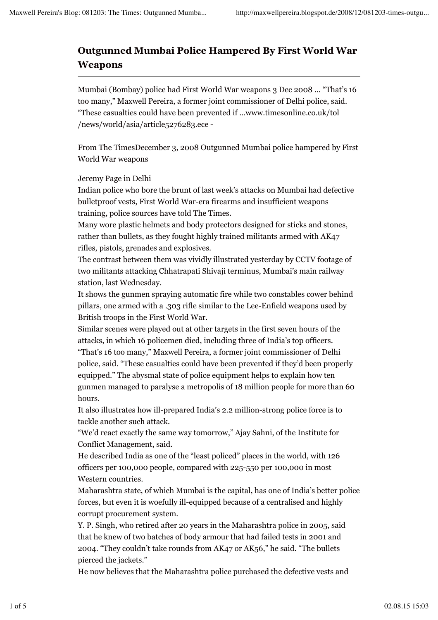## **Outgunned Mumbai Police Hampered By First World War Weapons**

Mumbai (Bombay) police had First World War weapons 3 Dec 2008 ... "That's 16 too many," Maxwell Pereira, a former joint commissioner of Delhi police, said. "These casualties could have been prevented if ...www.timesonline.co.uk/tol /news/world/asia/article5276283.ece -

From The TimesDecember 3, 2008 Outgunned Mumbai police hampered by First World War weapons

## Jeremy Page in Delhi

Indian police who bore the brunt of last week's attacks on Mumbai had defective bulletproof vests, First World War-era firearms and insufficient weapons training, police sources have told The Times.

Many wore plastic helmets and body protectors designed for sticks and stones, rather than bullets, as they fought highly trained militants armed with AK47 rifles, pistols, grenades and explosives.

The contrast between them was vividly illustrated yesterday by CCTV footage of two militants attacking Chhatrapati Shivaji terminus, Mumbai's main railway station, last Wednesday.

It shows the gunmen spraying automatic fire while two constables cower behind pillars, one armed with a .303 rifle similar to the Lee-Enfield weapons used by British troops in the First World War.

Similar scenes were played out at other targets in the first seven hours of the attacks, in which 16 policemen died, including three of India's top officers. "That's 16 too many," Maxwell Pereira, a former joint commissioner of Delhi

police, said. "These casualties could have been prevented if they'd been properly equipped." The abysmal state of police equipment helps to explain how ten gunmen managed to paralyse a metropolis of 18 million people for more than 60 hours.

It also illustrates how ill-prepared India's 2.2 million-strong police force is to tackle another such attack.

"We'd react exactly the same way tomorrow," Ajay Sahni, of the Institute for Conflict Management, said.

He described India as one of the "least policed" places in the world, with 126 officers per 100,000 people, compared with 225-550 per 100,000 in most Western countries.

Maharashtra state, of which Mumbai is the capital, has one of India's better police forces, but even it is woefully ill-equipped because of a centralised and highly corrupt procurement system.

Y. P. Singh, who retired after 20 years in the Maharashtra police in 2005, said that he knew of two batches of body armour that had failed tests in 2001 and 2004. "They couldn't take rounds from AK47 or AK56," he said. "The bullets pierced the jackets."

He now believes that the Maharashtra police purchased the defective vests and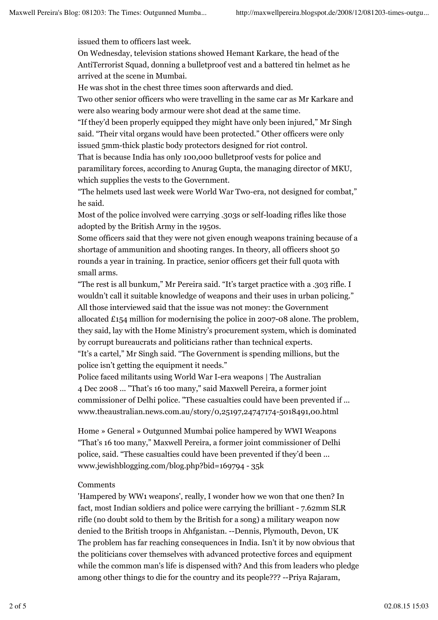issued them to officers last week.

On Wednesday, television stations showed Hemant Karkare, the head of the AntiTerrorist Squad, donning a bulletproof vest and a battered tin helmet as he arrived at the scene in Mumbai.

He was shot in the chest three times soon afterwards and died.

Two other senior officers who were travelling in the same car as Mr Karkare and were also wearing body armour were shot dead at the same time.

"If they'd been properly equipped they might have only been injured," Mr Singh said. "Their vital organs would have been protected." Other officers were only issued 5mm-thick plastic body protectors designed for riot control.

That is because India has only 100,000 bulletproof vests for police and paramilitary forces, according to Anurag Gupta, the managing director of MKU, which supplies the vests to the Government.

"The helmets used last week were World War Two-era, not designed for combat," he said.

Most of the police involved were carrying .303s or self-loading rifles like those adopted by the British Army in the 1950s.

Some officers said that they were not given enough weapons training because of a shortage of ammunition and shooting ranges. In theory, all officers shoot 50 rounds a year in training. In practice, senior officers get their full quota with small arms.

"The rest is all bunkum," Mr Pereira said. "It's target practice with a .303 rifle. I wouldn't call it suitable knowledge of weapons and their uses in urban policing." All those interviewed said that the issue was not money: the Government allocated £154 million for modernising the police in 2007-08 alone. The problem,

they said, lay with the Home Ministry's procurement system, which is dominated by corrupt bureaucrats and politicians rather than technical experts.

"It's a cartel," Mr Singh said. "The Government is spending millions, but the police isn't getting the equipment it needs."

Police faced militants using World War I-era weapons | The Australian 4 Dec 2008 ... "That's 16 too many," said Maxwell Pereira, a former joint commissioner of Delhi police. "These casualties could have been prevented if ... www.theaustralian.news.com.au/story/0,25197,24747174-5018491,00.html

Home » General » Outgunned Mumbai police hampered by WWI Weapons "That's 16 too many," Maxwell Pereira, a former joint commissioner of Delhi police, said. "These casualties could have been prevented if they'd been ... www.jewishblogging.com/blog.php?bid=169794 - 35k

## Comments

'Hampered by WW1 weapons', really, I wonder how we won that one then? In fact, most Indian soldiers and police were carrying the brilliant - 7.62mm SLR rifle (no doubt sold to them by the British for a song) a military weapon now denied to the British troops in Ahfganistan. --Dennis, Plymouth, Devon, UK The problem has far reaching consequences in India. Isn't it by now obvious that the politicians cover themselves with advanced protective forces and equipment while the common man's life is dispensed with? And this from leaders who pledge among other things to die for the country and its people??? --Priya Rajaram,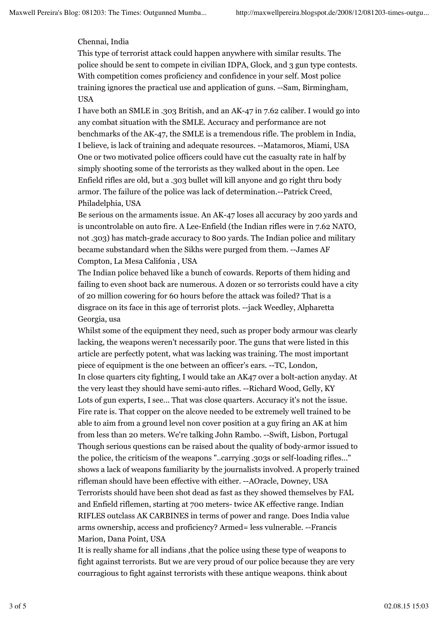## Chennai, India

This type of terrorist attack could happen anywhere with similar results. The police should be sent to compete in civilian IDPA, Glock, and 3 gun type contests. With competition comes proficiency and confidence in your self. Most police training ignores the practical use and application of guns. --Sam, Birmingham, USA

I have both an SMLE in .303 British, and an AK-47 in 7.62 caliber. I would go into any combat situation with the SMLE. Accuracy and performance are not benchmarks of the AK-47, the SMLE is a tremendous rifle. The problem in India, I believe, is lack of training and adequate resources. --Matamoros, Miami, USA One or two motivated police officers could have cut the casualty rate in half by simply shooting some of the terrorists as they walked about in the open. Lee Enfield rifles are old, but a .303 bullet will kill anyone and go right thru body armor. The failure of the police was lack of determination.--Patrick Creed, Philadelphia, USA

Be serious on the armaments issue. An AK-47 loses all accuracy by 200 yards and is uncontrolable on auto fire. A Lee-Enfield (the Indian rifles were in 7.62 NATO, not .303) has match-grade accuracy to 800 yards. The Indian police and military became substandard when the Sikhs were purged from them. --James AF Compton, La Mesa Califonia , USA

The Indian police behaved like a bunch of cowards. Reports of them hiding and failing to even shoot back are numerous. A dozen or so terrorists could have a city of 20 million cowering for 60 hours before the attack was foiled? That is a disgrace on its face in this age of terrorist plots. --jack Weedley, Alpharetta Georgia, usa

Whilst some of the equipment they need, such as proper body armour was clearly lacking, the weapons weren't necessarily poor. The guns that were listed in this article are perfectly potent, what was lacking was training. The most important piece of equipment is the one between an officer's ears. --TC, London, In close quarters city fighting, I would take an AK47 over a bolt-action anyday. At the very least they should have semi-auto rifles. --Richard Wood, Gelly, KY Lots of gun experts, I see... That was close quarters. Accuracy it's not the issue. Fire rate is. That copper on the alcove needed to be extremely well trained to be able to aim from a ground level non cover position at a guy firing an AK at him from less than 20 meters. We're talking John Rambo. --Swift, Lisbon, Portugal Though serious questions can be raised about the quality of body-armor issued to the police, the criticism of the weapons "..carrying .303s or self-loading rifles..." shows a lack of weapons familiarity by the journalists involved. A properly trained rifleman should have been effective with either. --AOracle, Downey, USA Terrorists should have been shot dead as fast as they showed themselves by FAL and Enfield riflemen, starting at 700 meters- twice AK effective range. Indian RIFLES outclass AK CARBINES in terms of power and range. Does India value arms ownership, access and proficiency? Armed= less vulnerable. --Francis Marion, Dana Point, USA

It is really shame for all indians ,that the police using these type of weapons to fight against terrorists. But we are very proud of our police because they are very courragious to fight against terrorists with these antique weapons. think about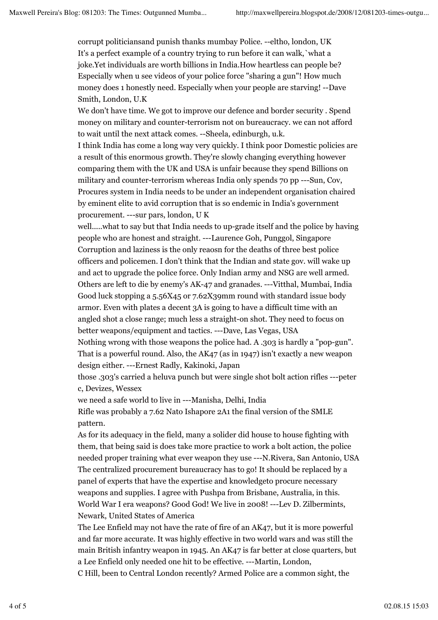corrupt politiciansand punish thanks mumbay Police. --eltho, london, UK It's a perfect example of a country trying to run before it can walk,`what a joke.Yet individuals are worth billions in India.How heartless can people be? Especially when u see videos of your police force "sharing a gun"! How much money does 1 honestly need. Especially when your people are starving! --Dave Smith, London, U.K

We don't have time. We got to improve our defence and border security . Spend money on military and counter-terrorism not on bureaucracy. we can not afford to wait until the next attack comes. --Sheela, edinburgh, u.k.

I think India has come a long way very quickly. I think poor Domestic policies are a result of this enormous growth. They're slowly changing everything however comparing them with the UK and USA is unfair because they spend Billions on military and counter-terrorism whereas India only spends 70 pp ---Sun, Cov, Procures system in India needs to be under an independent organisation chaired by eminent elite to avid corruption that is so endemic in India's government procurement. ---sur pars, london, U K

well.....what to say but that India needs to up-grade itself and the police by having people who are honest and straight. ---Laurence Goh, Punggol, Singapore Corruption and laziness is the only reaosn for the deaths of three best police officers and policemen. I don't think that the Indian and state gov. will wake up and act to upgrade the police force. Only Indian army and NSG are well armed. Others are left to die by enemy's AK-47 and granades. ---Vitthal, Mumbai, India Good luck stopping a 5.56X45 or 7.62X39mm round with standard issue body armor. Even with plates a decent 3A is going to have a difficult time with an angled shot a close range; much less a straight-on shot. They need to focus on better weapons/equipment and tactics. ---Dave, Las Vegas, USA

Nothing wrong with those weapons the police had. A .303 is hardly a "pop-gun". That is a powerful round. Also, the AK47 (as in 1947) isn't exactly a new weapon design either. ---Ernest Radly, Kakinoki, Japan

those .303's carried a heluva punch but were single shot bolt action rifles ---peter c, Devizes, Wessex

we need a safe world to live in ---Manisha, Delhi, India

Rifle was probably a 7.62 Nato Ishapore 2A1 the final version of the SMLE pattern.

As for its adequacy in the field, many a solider did house to house fighting with them, that being said is does take more practice to work a bolt action, the police needed proper training what ever weapon they use ---N.Rivera, San Antonio, USA The centralized procurement bureaucracy has to go! It should be replaced by a panel of experts that have the expertise and knowledgeto procure necessary weapons and supplies. I agree with Pushpa from Brisbane, Australia, in this. World War I era weapons? Good God! We live in 2008! ---Lev D. Zilbermints, Newark, United States of America

The Lee Enfield may not have the rate of fire of an AK47, but it is more powerful and far more accurate. It was highly effective in two world wars and was still the main British infantry weapon in 1945. An AK47 is far better at close quarters, but a Lee Enfield only needed one hit to be effective. ---Martin, London,

C Hill, been to Central London recently? Armed Police are a common sight, the